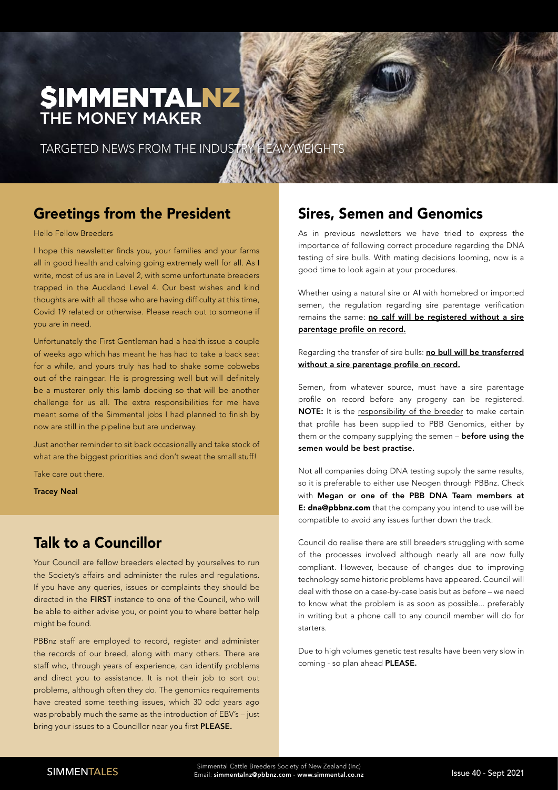# **SIMMENTALNZ** THE MONEY MAKER

TARGETED NEWS FROM THE INDUSTRY HEAVYWEIGHTS

## Greetings from the President

Hello Fellow Breeders

I hope this newsletter finds you, your families and your farms all in good health and calving going extremely well for all. As I write, most of us are in Level 2, with some unfortunate breeders trapped in the Auckland Level 4. Our best wishes and kind thoughts are with all those who are having difficulty at this time, Covid 19 related or otherwise. Please reach out to someone if you are in need.

Unfortunately the First Gentleman had a health issue a couple of weeks ago which has meant he has had to take a back seat for a while, and yours truly has had to shake some cobwebs out of the raingear. He is progressing well but will definitely be a musterer only this lamb docking so that will be another challenge for us all. The extra responsibilities for me have meant some of the Simmental jobs I had planned to finish by now are still in the pipeline but are underway.

Just another reminder to sit back occasionally and take stock of what are the biggest priorities and don't sweat the small stuff!

Take care out there.

Tracey Neal

## Talk to a Councillor

Your Council are fellow breeders elected by yourselves to run the Society's affairs and administer the rules and regulations. If you have any queries, issues or complaints they should be directed in the FIRST instance to one of the Council, who will be able to either advise you, or point you to where better help might be found.

PBBnz staff are employed to record, register and administer the records of our breed, along with many others. There are staff who, through years of experience, can identify problems and direct you to assistance. It is not their job to sort out problems, although often they do. The genomics requirements have created some teething issues, which 30 odd years ago was probably much the same as the introduction of EBV's – just bring your issues to a Councillor near you first PLEASE.

### Sires, Semen and Genomics

As in previous newsletters we have tried to express the importance of following correct procedure regarding the DNA testing of sire bulls. With mating decisions looming, now is a good time to look again at your procedures.

Whether using a natural sire or AI with homebred or imported semen, the regulation regarding sire parentage verification remains the same: no calf will be registered without a sire parentage profile on record.

Regarding the transfer of sire bulls: no bull will be transferred without a sire parentage profile on record.

Semen, from whatever source, must have a sire parentage profile on record before any progeny can be registered. NOTE: It is the responsibility of the breeder to make certain that profile has been supplied to PBB Genomics, either by them or the company supplying the semen - before using the semen would be best practise.

Not all companies doing DNA testing supply the same results, so it is preferable to either use Neogen through PBBnz. Check with Megan or one of the PBB DNA Team members at E: dna@pbbnz.com that the company you intend to use will be compatible to avoid any issues further down the track.

Council do realise there are still breeders struggling with some of the processes involved although nearly all are now fully compliant. However, because of changes due to improving technology some historic problems have appeared. Council will deal with those on a case-by-case basis but as before – we need to know what the problem is as soon as possible... preferably in writing but a phone call to any council member will do for starters.

Due to high volumes genetic test results have been very slow in coming - so plan ahead PLEASE.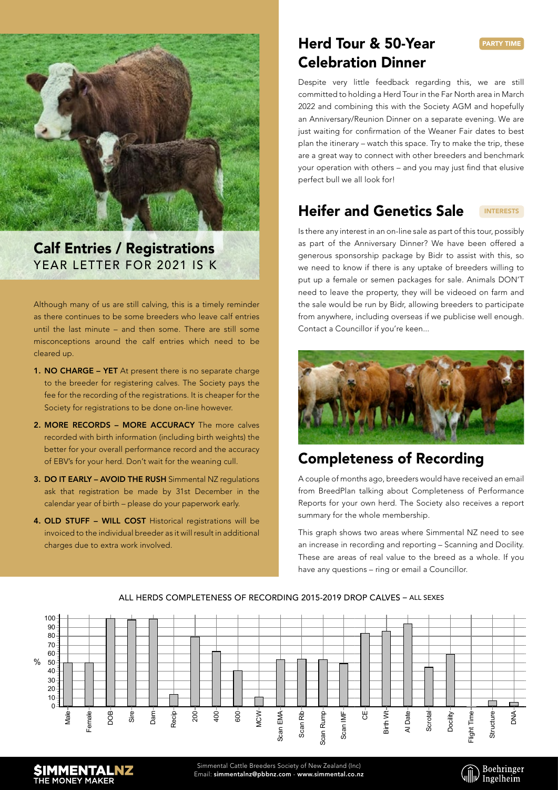

### Calf Entries / Registrations YEAR LETTER FOR 2021 IS K

Although many of us are still calving, this is a timely reminder as there continues to be some breeders who leave calf entries until the last minute – and then some. There are still some misconceptions around the calf entries which need to be cleared up.

- 1. NO CHARGE YET At present there is no separate charge to the breeder for registering calves. The Society pays the fee for the recording of the registrations. It is cheaper for the Society for registrations to be done on-line however.
- 2. MORE RECORDS MORE ACCURACY The more calves recorded with birth information (including birth weights) the better for your overall performance record and the accuracy of EBV's for your herd. Don't wait for the weaning cull.
- 3. DO IT EARLY AVOID THE RUSH Simmental NZ regulations ask that registration be made by 31st December in the calendar year of birth – please do your paperwork early.
- 4. OLD STUFF WILL COST Historical registrations will be invoiced to the individual breeder as it will result in additional charges due to extra work involved. **ALL HERDS ALL HERDS**

**Females Females**

## Herd Tour & 50-Year Celebration Dinner

Despite very little feedback regarding this, we are still committed to holding a Herd Tour in the Far North area in March 2022 and combining this with the Society AGM and hopefully an Anniversary/Reunion Dinner on a separate evening. We are just waiting for confirmation of the Weaner Fair dates to best plan the itinerary – watch this space. Try to make the trip, these are a great way to connect with other breeders and benchmark your operation with others – and you may just find that elusive perfect bull we all look for!

#### Heifer and Genetics Sale INTERESTS

Is there any interest in an on-line sale as part of this tour, possibly as part of the Anniversary Dinner? We have been offered a generous sponsorship package by Bidr to assist with this, so we need to know if there is any uptake of breeders willing to put up a female or semen packages for sale. Animals DON'T need to leave the property, they will be videoed on farm and the sale would be run by Bidr, allowing breeders to participate from anywhere, including overseas if we publicise well enough. Contact a Councillor if you're keen...



# Completeness of Recording

A couple of months ago, breeders would have received an email from BreedPlan talking about Completeness of Performance Reports for your own herd. The Society also receives a report summary for the whole membership.

This graph shows two areas where Simmental NZ need to see an increase in recording and reporting – Scanning and Docility.<br> **ALL HERDS** These are areas of real value to the breed as a whole. If you **Completeness of Performance Completeness of Performance Completeness of Performance Completeness of Performance 2015 - 2015 - 2015 - 2015 - 2015 - 2015 - 2015 - 2015 - 2015 - 2015 - 2015 - 2015 - 2015 - 2015 - 2015 - 2015** -<u>2015 - 2015 - 2015 - 2015</u> - 2015 - 2015 - 2015 - 2015 - 2015 - 2015 - 2015 - 2015 - 2015 - 2015 - 2015 - 2015<br>2015 - 2015 - 2015 - 2015 - 2015 - 2015 - 2015 - 2015 - 2015 - 2015 - 2015 - 2015 - 2015 - 2015 - 2015 - 2015



#### ALL HERDS COMPLETENESS OF RECORDING 2015-2019 DROP CALVES – ALL SEXES



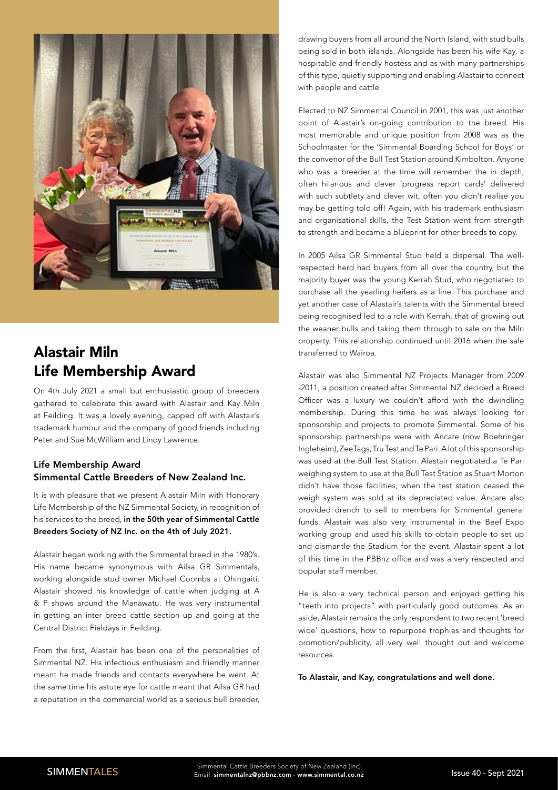

## Alastair Miln Life Membership Award

On 4th July 2021 a small but enthusiastic group of breeders gathered to celebrate this award with Alastair and Kay Miln at Feilding. It was a lovely evening, capped off with Alastair's trademark humour and the company of good friends including Peter and Sue McWilliam and Lindy Lawrence.

### Life Membership Award Simmental Cattle Breeders of New Zealand Inc.

It is with pleasure that we present Alastair Miln with Honorary Life Membership of the NZ Simmental Society, in recognition of his services to the breed, in the 50th year of Simmental Cattle Breeders Society of NZ Inc. on the 4th of July 2021.

Alastair began working with the Simmental breed in the 1980's. His name became synonymous with Ailsa GR Simmentals, working alongside stud owner Michael Coombs at Ohingaiti. Alastair showed his knowledge of cattle when judging at A & P shows around the Manawatu. He was very instrumental in getting an inter breed cattle section up and going at the Central District Fieldays in Feilding.

From the first, Alastair has been one of the personalities of Simmental NZ. His infectious enthusiasm and friendly manner meant he made friends and contacts everywhere he went. At the same time his astute eye for cattle meant that Ailsa GR had a reputation in the commercial world as a serious bull breeder,

drawing buyers from all around the North Island, with stud bulls being sold in both islands. Alongside has been his wife Kay, a hospitable and friendly hostess and as with many partnerships of this type, quietly supporting and enabling Alastair to connect with people and cattle.

Elected to NZ Simmental Council in 2001, this was just another point of Alastair's on-going contribution to the breed. His most memorable and unique position from 2008 was as the Schoolmaster for the 'Simmental Boarding School for Boys' or the convenor of the Bull Test Station around Kimbolton. Anyone who was a breeder at the time will remember the in depth. often hilarious and clever 'progress report cards' delivered with such subtlety and clever wit, often you didn't realise you may be getting told off! Again, with his trademark enthusiasm and organisational skills, the Test Station went from strength to strength and became a blueprint for other breeds to copy.

In 2005 Ailsa GR Simmental Stud held a dispersal. The wellrespected herd had buyers from all over the country, but the majority buyer was the young Kerrah Stud, who negotiated to purchase all the yearling heifers as a line. This purchase and yet another case of Alastair's talents with the Simmental breed being recognised led to a role with Kerrah, that of growing out the weaner bulls and taking them through to sale on the Miln property. This relationship continued until 2016 when the sale transferred to Wairoa.

Alastair was also Simmental NZ Projects Manager from 2009 -2011, a position created after Simmental NZ decided a Breed Officer was a luxury we couldn't afford with the dwindling membership. During this time he was always looking for sponsorship and projects to promote Simmental. Some of his sponsorship partnerships were with Ancare (now Boehringer Ingleheim), ZeeTags, Tru Test and Te Pari. A lot of this sponsorship was used at the Bull Test Station. Alastair negotiated a Te Pari weighing system to use at the Bull Test Station as Stuart Morton didn't have those facilities, when the test station ceased the weigh system was sold at its depreciated value. Ancare also provided drench to sell to members for Simmental general funds. Alastair was also very instrumental in the Beef Expo working group and used his skills to obtain people to set up and dismantle the Stadium for the event. Alastair spent a lot of this time in the PBBnz office and was a very respected and popular staff member.

He is also a very technical person and enjoyed getting his "teeth into projects" with particularly good outcomes. As an aside, Alastair remains the only respondent to two recent 'breed wide' questions, how to repurpose trophies and thoughts for promotion/publicity, all very well thought out and welcome resources.

To Alastair, and Kay, congratulations and well done.